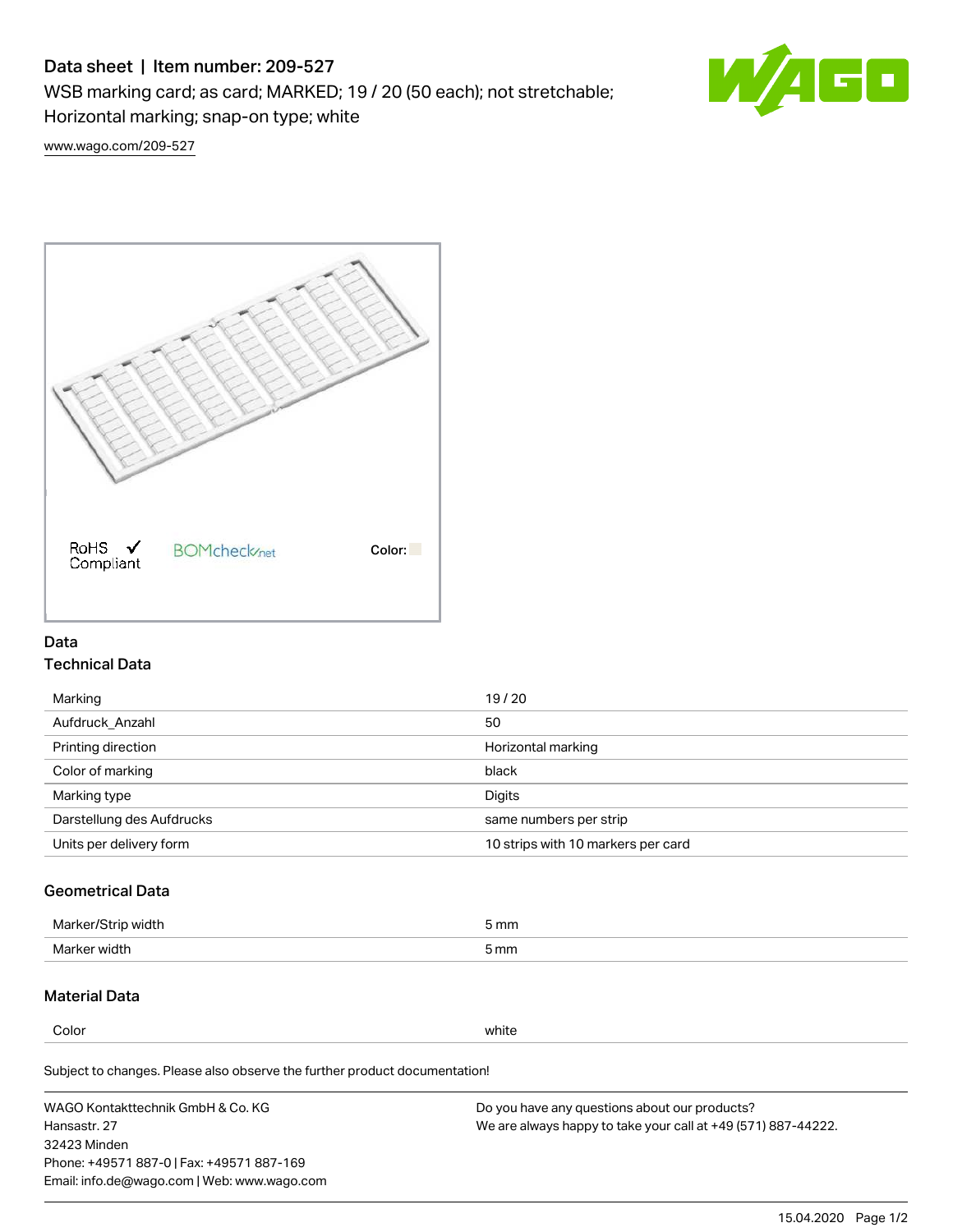# Data sheet | Item number: 209-527

WSB marking card; as card; MARKED; 19 / 20 (50 each); not stretchable;

Horizontal marking; snap-on type; white



[www.wago.com/209-527](http://www.wago.com/209-527)



### Data Technical Data

| Marking                   | 19/20                              |
|---------------------------|------------------------------------|
| Aufdruck Anzahl           | 50                                 |
| Printing direction        | Horizontal marking                 |
| Color of marking          | black                              |
| Marking type              | Digits                             |
| Darstellung des Aufdrucks | same numbers per strip             |
| Units per delivery form   | 10 strips with 10 markers per card |

## Geometrical Data

| <b>Marker</b><br>width | 5 mm |
|------------------------|------|
| Marker width           | 5 mm |

### Material Data

Color white

Subject to changes. Please also observe the further product documentation!

WAGO Kontakttechnik GmbH & Co. KG Hansastr. 27 32423 Minden Phone: +49571 887-0 | Fax: +49571 887-169 Email: info.de@wago.com | Web: www.wago.com Do you have any questions about our products? We are always happy to take your call at +49 (571) 887-44222.